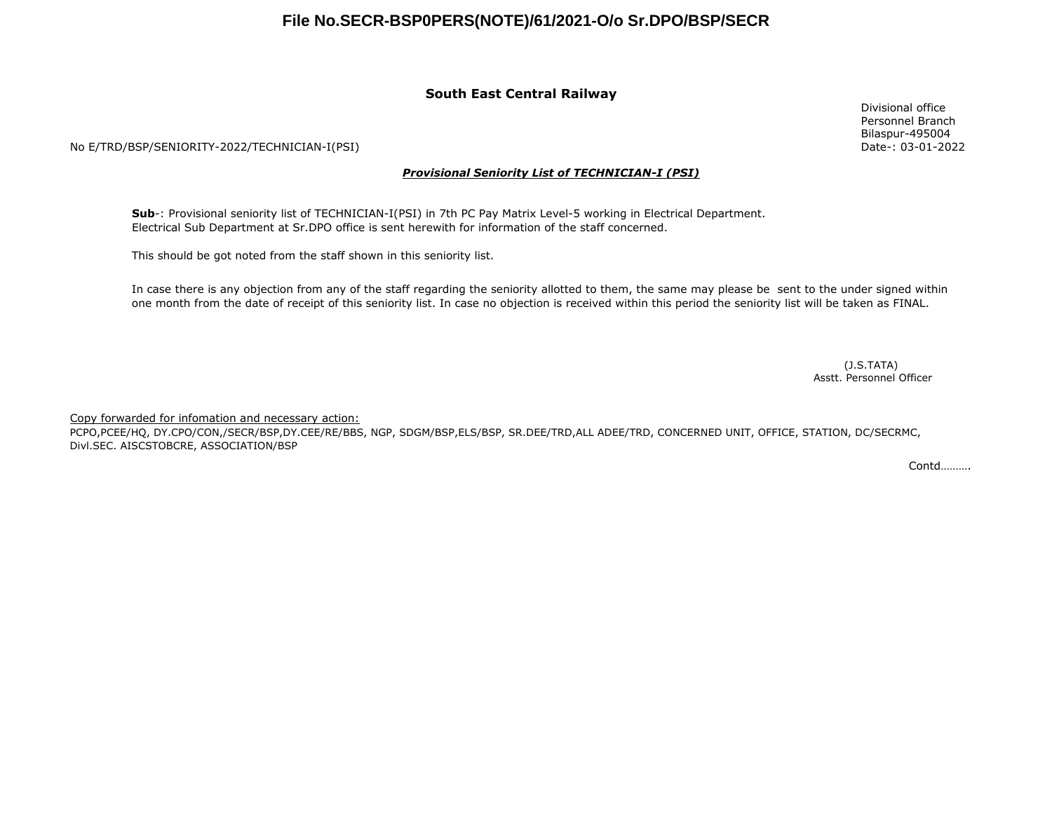## **File No.SECR-BSP0PERS(NOTE)/61/2021-O/o Sr.DPO/BSP/SECR**

#### **South East Central Railway**

No E/TRD/BSP/SENIORITY-2022/TECHNICIAN-I(PSI)

#### *Provisional Seniority List of TECHNICIAN-I (PSI)*

**Sub**-: Provisional seniority list of TECHNICIAN-I(PSI) in 7th PC Pay Matrix Level-5 working in Electrical Department. Electrical Sub Department at Sr.DPO office is sent herewith for information of the staff concerned.

This should be got noted from the staff shown in this seniority list.

In case there is any objection from any of the staff regarding the seniority allotted to them, the same may please be sent to the under signed within one month from the date of receipt of this seniority list. In case no objection is received within this period the seniority list will be taken as FINAL.

> (J.S.TATA) Asstt. Personnel Officer

Copy forwarded for infomation and necessary action:

PCPO,PCEE/HQ, DY.CPO/CON,/SECR/BSP,DY.CEE/RE/BBS, NGP, SDGM/BSP,ELS/BSP, SR.DEE/TRD,ALL ADEE/TRD, CONCERNED UNIT, OFFICE, STATION, DC/SECRMC, Divl.SEC. AISCSTOBCRE, ASSOCIATION/BSP

Contd……….

Divisional office Personnel Branch Bilaspur-495004 Date-: 03-01-2022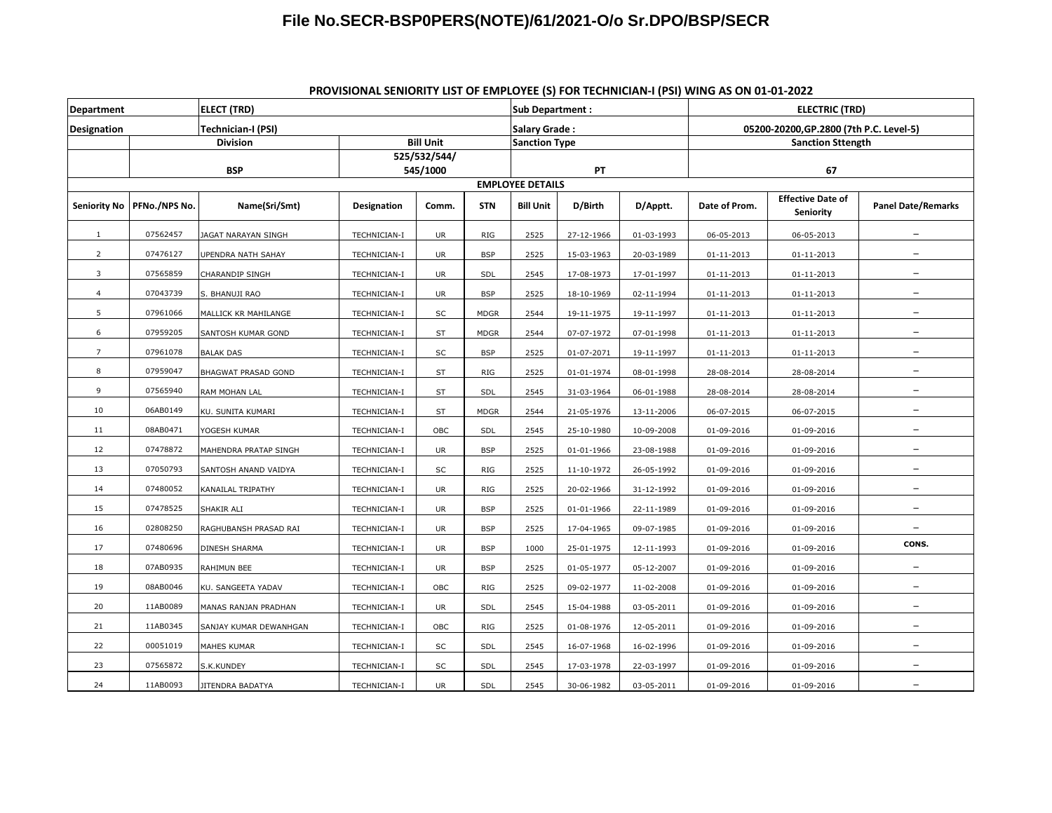### **File No.SECR-BSP0PERS(NOTE)/61/2021-O/o Sr.DPO/BSP/SECR**

### <sup>07562457</sup> JAGAT NARAYAN SINGH TECHNICIAN-I UR RIG <sup>2525</sup> 27-12-1966 01-03-1993 06-05-2013 06-05-2013 **\_** <sup>07476127</sup> UPENDRA NATH SAHAY TECHNICIAN-I UR BSP <sup>2525</sup> 15-03-1963 20-03-1989 01-11-2013 01-11-2013 **\_** <sup>07565859</sup> CHARANDIP SINGH TECHNICIAN-I UR SDL <sup>2545</sup> 17-08-1973 17-01-1997 01-11-2013 01-11-2013 **\_** <sup>07043739</sup> S. BHANUJI RAO TECHNICIAN-I UR BSP <sup>2525</sup> 18-10-1969 02-11-1994 01-11-2013 01-11-2013 **\_** <sup>07961066</sup> MALLICK KR MAHILANGE TECHNICIAN-I SC MDGR <sup>2544</sup> 19-11-1975 19-11-1997 01-11-2013 01-11-2013 **\_** <sup>07959205</sup> SANTOSH KUMAR GOND TECHNICIAN-I ST MDGR <sup>2544</sup> 07-07-1972 07-01-1998 01-11-2013 01-11-2013 **\_** <sup>07961078</sup> BALAK DAS TECHNICIAN-I SC BSP <sup>2525</sup> 01-07-2071 19-11-1997 01-11-2013 01-11-2013 **\_** <sup>07959047</sup> BHAGWAT PRASAD GOND TECHNICIAN-I ST RIG <sup>2525</sup> 01-01-1974 08-01-1998 28-08-2014 28-08-2014 **\_** <sup>07565940</sup> RAM MOHAN LAL TECHNICIAN-I ST SDL <sup>2545</sup> 31-03-1964 06-01-1988 28-08-2014 28-08-2014 **\_** 06AB0149 KU. SUNITA KUMARI TECHNICIAN-I ST MDGR <sup>2544</sup> 21-05-1976 13-11-2006 06-07-2015 06-07-2015 **\_** 08AB0471 YOGESH KUMAR TECHNICIAN-I OBC SDL <sup>2545</sup> 25-10-1980 10-09-2008 01-09-2016 01-09-2016 **\_** <sup>07478872</sup> MAHENDRA PRATAP SINGH TECHNICIAN-I UR BSP <sup>2525</sup> 01-01-1966 23-08-1988 01-09-2016 01-09-2016 **\_** <sup>07050793</sup> SANTOSH ANAND VAIDYA TECHNICIAN-I SC RIG <sup>2525</sup> 11-10-1972 26-05-1992 01-09-2016 01-09-2016 **\_** <sup>07480052</sup> KANAILAL TRIPATHY TECHNICIAN-I UR RIG <sup>2525</sup> 20-02-1966 31-12-1992 01-09-2016 01-09-2016 **\_** <sup>07478525</sup> SHAKIR ALI TECHNICIAN-I UR BSP <sup>2525</sup> 01-01-1966 22-11-1989 01-09-2016 01-09-2016 **\_** <sup>02808250</sup> RAGHUBANSH PRASAD RAI TECHNICIAN-I UR BSP <sup>2525</sup> 17-04-1965 09-07-1985 01-09-2016 01-09-2016 **\_** <sup>07480696</sup> DINESH SHARMA TECHNICIAN-I UR BSP <sup>1000</sup> 25-01-1975 12-11-1993 01-09-2016 01-09-2016 **CONS.** 07AB0935 RAHIMUN BEE TECHNICIAN-I UR BSP <sup>2525</sup> 01-05-1977 05-12-2007 01-09-2016 01-09-2016 **\_** 08AB0046 KU. SANGEETA YADAV TECHNICIAN-I OBC RIG <sup>2525</sup> 09-02-1977 11-02-2008 01-09-2016 01-09-2016 **\_** 11AB0089 MANAS RANJAN PRADHAN TECHNICIAN-I UR SDL <sup>2545</sup> 15-04-1988 03-05-2011 01-09-2016 01-09-2016 **\_** 11AB0345 SANJAY KUMAR DEWANHGAN TECHNICIAN-I OBC RIG <sup>2525</sup> 01-08-1976 12-05-2011 01-09-2016 01-09-2016 **\_** <sup>00051019</sup> MAHES KUMAR TECHNICIAN-I SC SDL <sup>2545</sup> 16-07-1968 16-02-1996 01-09-2016 01-09-2016 **\_** <sup>07565872</sup> S.K.KUNDEY TECHNICIAN-I SC SDL <sup>2545</sup> 17-03-1978 22-03-1997 01-09-2016 01-09-2016 **\_** 11AB0093 JITENDRA BADATYA TECHNICIAN-I UR SDL <sup>2545</sup> 30-06-1982 03-05-2011 01-09-2016 01-09-2016 **\_ Designation Technician-I (PSI) Salary Grade : 05200-20200,GP.2800 (7th P.C. Level-5) Department ELECT (TRD) Sub Department : ELECTRIC (TRD) Division Bill Unit Sanction Type Sanction Sttength BSP 525/532/544/ 545/1000 PT 67 EMPLOYEE DETAILS Seniority No PFNo./NPS No. Name(Sri/Smt) Designation Comm. STN Bill Unit D/Birth D/Apptt. Date of Prom. Effective Date of Seniority Panel Date/Remarks**

#### **PROVISIONAL SENIORITY LIST OF EMPLOYEE (S) FOR TECHNICIAN-I (PSI) WING AS ON 01-01-2022**